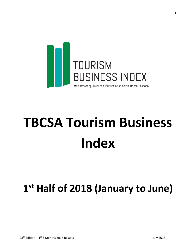

# **TBCSA Tourism Business Index**

# **1 st Half of 2018 (January to June)**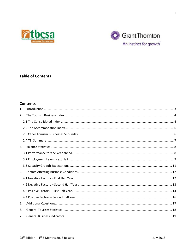



# **Table of Contents**

## **Contents**

| $\mathbf{1}$ . |  |
|----------------|--|
| 2.             |  |
|                |  |
|                |  |
|                |  |
|                |  |
| 3.             |  |
|                |  |
|                |  |
|                |  |
| 4.             |  |
|                |  |
|                |  |
|                |  |
|                |  |
| 5.             |  |
| 6.             |  |
| 7.             |  |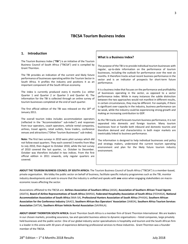### **TBCSA Tourism Business Index**

#### <span id="page-2-0"></span>**1. Introduction**

The Tourism Business Index ("**TBI**") is an initiative of the Tourism Business Council of South Africa ("TBCSA") and is compiled by Grant Thornton.

The TBI provides an indication of the current and likely future performance of businesses operating within the Tourism Sector in South Africa. It profiles the industry and positions it as an important component of the South African economy.

The index is currently produced every 6 months (i.e. either Quarter 1 and Quarter 2 or Quarter 3 and Quarter 4). The information for the TBI is collected through an online survey of tourism businesses completed at the end of each quarter.

The first official edition of the TBI was released on the 18<sup>th</sup> of January 2011.

The overall tourism index includes accommodation operators (reflected in the "Accommodation" sub-index") and responses from tour operators, coach operators, vehicle rental companies, airlines, travel agents, retail outlets, forex traders, conference venues and attractions ("Other Tourism Businesses" sub-index).

**Note:** The first two surveys in 2010 were pilot surveys which did not follow exact quarters. They each covered 3 months from May to July 2010, then August to October 2010, while the last survey of 2010 covered the last quarter, i.e. October to December. October was therefore included in two indices. From the first official edition in 2011 onwards, only regular quarters are covered.

#### **What is a Business Index?**

The purpose of the TBI is to provide individual tourism businesses with regular, up-to-date information on the performance of tourism businesses, including the outlook for performance over the next six months. It therefore tracks actual recent business performance in the sector and is an indicator of prospects for short-term future performance.

It is a business index that focuses on the performance and profitability of businesses operating in the sector, as opposed to a sector performance index. While in many instances the subtle distinction between the two approaches would not manifest in different results, in certain circumstances, they may be different. For example, if there is significant over-capacity in the industry, business performance can be weak, while the industry could be experiencing strong growth and making an increasing contribution to GDP.

As the TBI tracks and forecasts tourism business performance, it is not separated into domestic and foreign tourism. Many tourism businesses host or handle both inbound and domestic tourists and therefore demand and characteristics in both major markets are inextricably linked to business performance.

The information is designed to help individual businesses and policy and strategy makers, understand the current tourism operating environment and plan for the likely future tourism industry environment.

**ABOUT THE TOURISM BUSINESS COUNCIL OF SOUTH AFRICA:** The Tourism Business Council of South Africa ("TBCSA") is a member-based, private organisation. We lobby the public sector on behalf of business, facilitate specific industry programmes such as the TBI, monitor industry developments and seek to ensure that the industry is unified and speaks with **one** voice when engaging stakeholders on macroeconomic issues affecting the sector.

Associations affiliated to the TBCSA are: **Airlines Association of Southern Africa** (AASA), **Association of Southern African Travel Agents** (ASATA), **Board of Airline Representatives of South Africa** (BARSA), **Federated Hospitality Association of South Africa** (FEDHASA), **National Accommodation Association of South Africa** (NAA-SA), **Professional Hunters Association of South Africa** (PHASA), **Southern African Association for the Conference Industry** (SAACI), **Southern African Bus Operators' Association** (SABOA), **Southern Africa Tourism Services Association** (SATSA), **Southern African Vehicle Rental Association** (SAVRALA).

**ABOUT GRANT THORNTON SOUTH AFRICA:** Grant Thornton South Africa is a member firm of Grant Thornton International. We are leaders in our chosen markets, providing assurance, tax and specialist business advice to dynamic organisations – listed companies, large privately held businesses and the public sector. One of our global industry sector specialisations is hospitality and tourism and the South African firm is a leader in this arena with 30 years of experience delivering professional services to these industries. Grant Thornton was a founder member of the TBCSA.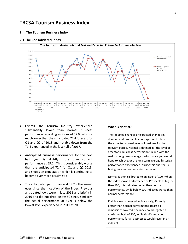# **TBCSA Tourism Business Index**

#### <span id="page-3-0"></span>**2. The Tourism Business Index**

#### <span id="page-3-1"></span>**2.1 The Consolidated Index**



- Overall, the Tourism Industry experienced substantially lower than normal business performance recording an index of 57.9, which is much lower than the anticipated 72.4 forecast for Q1 and Q2 of 2018 and notably down from the 71.4 experienced in the last half of 2017.
- Anticipated business performance for the next half year is slightly more than current performance at 59.2. This is considerably worse than the anticipated 72.4 for Q1 and Q2 2018, and shows an expectation which is continuing to become ever more pessimistic.
- The anticipated performance at 59.2 is the lowest ever since the inception of the index. Previous anticipated lows were in late 2011 and briefly in 2016 and did not drop below 80 since. Similarly, the actual performance at 57.9 is below the lowest level experienced in 2011 at 70.

#### **What is Normal?**

The reported changes or expected changes in demand and profitability are expressed relative to the expected normal levels of business for the relevant period. Normal is defined as "the level of acceptable business performance in line with the realistic long term average performance you would hope to achieve, or the long term average historical performance experienced, during this quarter, i.e. taking seasonal variances into account".

Normal is then calibrated to an index of 100. When the index shows Performance or Prospects at higher than 100, this indicates better than normal performance, while below 100 indicates worse than normal performance.

If all business surveyed indicate a significantly better than normal performance across all dimensions covered, the index could register a maximum high of 200, while significantly poor performance for all businesses would result in an index of 0.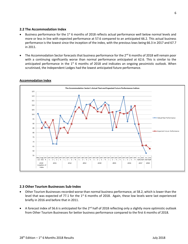#### <span id="page-4-0"></span>**2.2 The Accommodation Index**

- Business performance for the 1<sup>st</sup> 6 months of 2018 reflects actual performance well below normal levels and more or less in line with expected performance at 57.6 compared to an anticipated 66.2. This actual business performance is the lowest since the inception of the index, with the previous lows being 66.3 in 2017 and 67.7 in 2011.
- The Accommodation Sector forecasts that business performance for the 2<sup>nd</sup> 6 months of 2018 will remain poor with a continuing significantly worse than normal performance anticipated at 62.6. This is similar to the anticipated performance in the  $1<sup>st</sup>$  6 months of 2018 and indicates an ongoing pessimistic outlook. When scrutinised, the Independent Lodges had the lowest anticipated future performance.



#### **Accommodation Index**

#### <span id="page-4-1"></span>**2.3 Other Tourism Businesses Sub-Index**

- Other Tourism Businesses recorded worse than normal business performance, at 58.2, which is lower than the level that was expected of 77.1 for the  $1<sup>st</sup>$  6 months of 2018. Again, these low levels were last experienced briefly in 2016 and before that in 2011.
- A forecast index of 56.6 is anticipated for the 2<sup>nd</sup> half of 2018 reflecting only a slightly more optimistic outlook from Other Tourism Businesses for better business performance compared to the first 6 months of 2018.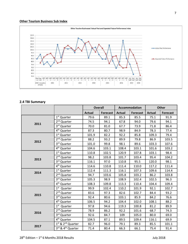#### **Other Tourism Business Sub Index**



#### <span id="page-5-0"></span>**2.4 TBI Summary**

|      |                                           | <b>Overall</b> |                 | Accommodation |                 | <b>Other</b>  |                 |
|------|-------------------------------------------|----------------|-----------------|---------------|-----------------|---------------|-----------------|
|      |                                           | <b>Actual</b>  | <b>Forecast</b> | <b>Actual</b> | <b>Forecast</b> | <b>Actual</b> | <b>Forecast</b> |
|      | 1 <sup>st</sup> Quarter                   | 79.6           | 89.1            | 85.3          | 85.5            | 75.1          | 91.9            |
|      | 2 <sup>nd</sup> Quarter                   | 74.5           | 94.1            | 67.8          | 94.0            | 79.6          | 94.1            |
| 2011 | 3rd Quarter                               | 70.0           | 81.0            | 67.7          | 73.9            | 71.8          | 86.4            |
|      | 4 <sup>th</sup> Quarter                   | 87.3           | 80.7            | 98.9          | 84.9            | 78.3          | 77.4            |
|      | 1 <sup>st</sup> Quarter                   | 101.9          | 82.2            | 92.2          | 85.8            | 109.3         | 79.4            |
| 2012 | 2 <sup>nd</sup> Quarter                   | 88.2           | 93.2            | 89.9          | 79.8            | 86.9          | 103.5           |
|      | 3rd Quarter                               | 101.0          | 99.8            | 98.1          | 89.6            | 103.3         | 107.6           |
|      | 4 <sup>th</sup> Quarter                   | 104.6          | 103.1           | 108.4         | 103.1           | 101.6         | 103.2           |
|      | 1 <sup>st</sup> Quarter                   | 110.8          | 102.5           | 120.9         | 107.8           | 103.1         | 98.4            |
| 2013 | 2 <sup>nd</sup> Quarter                   | 98.2           | 103.8           | 101.7         | 103.4           | 95.4          | 104.2           |
|      | 3rd Quarter                               | 116.1          | 97.0            | 110.8         | 95.5            | 120.0         | 98.1            |
|      | 4 <sup>th</sup> Quarter                   | 114.6          | 110.8           | 111.4         | 110.0           | 117.2         | 111.4           |
| 2014 | 1 <sup>st</sup> Quarter                   | 112.4          | 111.3           | 116.1         | 107.3           | 109.6         | 114.4           |
|      | 2 <sup>nd</sup> Quarter                   | 94.7           | 103.6           | 105.8         | 103.2           | 86.2          | 103.8           |
|      | 3rd Quarter                               | 105.3          | 98.9            | 108.9         | 102.4           | 102.5         | 96.3            |
|      | 4 <sup>th</sup> Quarter                   | 108.3          | 109.8           | 113.3         | 110.4           | 104.4         | 109.4           |
|      | $1st$ Quarter                             |                | 102.4           | 110.2         | 101.9           | 92.1          | 102.7           |
| 2015 | 2 <sup>nd</sup> Quarter                   | 83.6           | 97.3            | 82.6          | 102.7           | 84.4          | 93.2            |
|      | 3rd Quarter                               | 92.4           | 80.6            | 103.1         | 85.9            | 84.2          | 76.6            |
|      | 4 <sup>th</sup> Quarter                   | 106.5          | 94.2            | 104.4         | 102.0           | 108.1         | 88.2            |
|      | 1 <sup>st</sup> Quarter                   | 97.8           | 94.6            | 119.3         | 100.8           | 81.2          | 89.9            |
| 2016 | 2 <sup>nd</sup> Quarter                   | 78.9           | 86.2            | 92.2          | 101.6           | 68.7          | 74.3            |
|      | 3rd Quarter                               | 92.6           | 84.7            | 109           | 105.0           | 80.0          | 69.0            |
|      | 4 <sup>th</sup> Quarter                   | 104.5          | 87.1            | 89.5          | 109.4           | 116.1         | 69.9            |
|      | 1 <sup>st</sup> & 2 <sup>nd</sup> Quarter | 82.7           | 96.0            | 79.1          | 89.3            | 85.5          | 101.1           |
| 2017 | 3rd & 4 <sup>th</sup> Quarter             | 71.4           | 80.4            | 66.3          | 66.1            | 75.4          | 91.4            |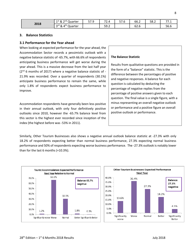|      | $1st$ &<br>$\cap$ nd $\cap$<br>Quarter<br>_ | 57 Q | $\overline{\phantom{a}}$<br>$\Delta$<br>$\sim$ | $-7c$<br>57.6 | $\sim$ $\sim$<br>bb.2 | 58.2 | 77.4                               |
|------|---------------------------------------------|------|------------------------------------------------|---------------|-----------------------|------|------------------------------------|
| 2018 | . 4 <sup>th</sup> Quarter<br>&<br>⊃rd       |      | 59.2                                           |               | $\sim$<br>b2.b        |      | $\Gamma$ $\Gamma$ $\Gamma$<br>56.6 |

#### <span id="page-6-0"></span>**3. Balance Statistics**

#### <span id="page-6-1"></span>**3.1 Performance for the Year ahead**

When looking at expected performance for the year ahead, the Accommodation Sector records a pessimistic outlook with a negative balance statistic of -65.7%, with 66.6% of respondents anticipating business performance will get worse during the year ahead. This is a massive decrease from the last half year (2<sup>nd</sup> 6 months of 2017) where a negative balance statistic of -21.9% was recorded. Over a quarter of respondents (30.1%) anticipate business performance to remain the same, while only 1.8% of respondents expect business performance to improve.

Accommodation respondents have generally been less positive in their annual outlook, with only four definitively positive outlooks since 2010, however the -65.7% balance level from this sector is the highest ever recorded since inception of the index (the highest before was -53% in 2011).

#### **The Balance Statistic**

Results from qualitative questions are provided in the form of a "balance" statistic. This is the difference between the percentages of positive and negative responses. A balance for each question is calculated by deducting the percentage of negative replies from the percentage of positive answers given to each question. The final value is a single figure, with a minus representing an overall negative outlook or performance and a positive figure an overall positive outlook or performance.

Similarly, Other Tourism Businesses also shows a negative annual outlook balance statistic at -27.3% with only 18.2% of respondents expecting better than normal business performance, 27.3% expecting normal business performance and 50% of respondents expecting worse business performance. The -27.3% outlook is notably lower than for the last 6 months (+10.3%).



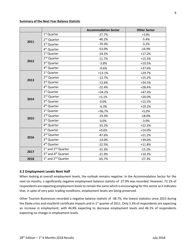#### **Summary of the Next Year Balance Statistic**

|      |                                             | <b>Accommodation Sector</b> | <b>Other Sector</b> |  |  |
|------|---------------------------------------------|-----------------------------|---------------------|--|--|
|      | 1 <sup>st</sup> Quarter                     | $-27.7%$                    | $+13%$              |  |  |
|      | 2 <sup>nd</sup> Quarter                     | $-40.2%$                    | $-5.4%$             |  |  |
| 2011 | 3rd Quarter                                 | $-70.3%$                    | $-3.2%$             |  |  |
|      | 4 <sup>th</sup> Quarter                     | $-53.0%$                    | $-16.9%$            |  |  |
|      | 1 <sup>st</sup> Quarter                     | $-24.5%$                    | $+17.2%$            |  |  |
| 2012 | 2 <sup>nd</sup> Quarter                     | $-11.7%$                    | $+15.3%$            |  |  |
|      | 3rd Quarter                                 | $-3.8%$                     | $+10.5%$            |  |  |
|      | 4 <sup>th</sup> Quarter                     | $-0.6%$                     | +37.6%              |  |  |
|      | 1 <sup>st</sup> Quarter                     | $+13.1%$                    | $+29.7%$            |  |  |
| 2013 | 2 <sup>nd</sup> Quarter                     | $-12.7%$                    | $+15.2%$            |  |  |
|      | 3rd Quarter                                 | $-13.6%$                    | +34.5%              |  |  |
|      | 4 <sup>th</sup> Quarter                     | $-22.4%$                    | $+28.4%$            |  |  |
|      | 1 <sup>st</sup> Quarter                     | $+34.2%$                    | $+47.3%$            |  |  |
| 2014 | 2 <sup>nd</sup> Quarter                     | $+5.1%$                     | $+20.0%$            |  |  |
|      | 3rd Quarter                                 | 0.0%                        | $+15.5%$            |  |  |
|      | 4 <sup>th</sup> Quarter                     | $-6.3%$                     | $+19.2%$            |  |  |
|      | 1 <sup>st</sup> Quarter                     | +36,7%                      | $+5,0%$             |  |  |
| 2015 | 2 <sup>nd</sup> Quarter                     | $-19.3%$                    | $-18.0%$            |  |  |
|      | 3rd Quarter                                 | 0.0%                        | $-3.9%$             |  |  |
|      | 4 <sup>th</sup> Quarter                     | $-33.2%$                    | $+22.3%$            |  |  |
|      | 1 <sup>st</sup> Quarter                     | $+0.6%$                     | $+14.0%$            |  |  |
| 2016 | 2 <sup>nd</sup> Quarter                     | $-47.6%$                    | $+21.2%$            |  |  |
|      | 3rd Quarter                                 | $-14.0%$                    | +39.0%              |  |  |
|      | 4 <sup>th</sup> Quarter                     | $-22.5%$                    | $+11.8%$            |  |  |
| 2017 | 1st and 2 <sup>nd</sup> Quarter             | $-31.3%$                    | $-15.2%$            |  |  |
|      | 3rd and 4 <sup>th</sup> Quarter             | $-21.9%$                    | $+10.3%$            |  |  |
| 2018 | 1 <sup>st</sup> and 2 <sup>nd</sup> Quarter | $-65.7%$                    | $-27.3%$            |  |  |

#### <span id="page-7-0"></span>**3.2 Employment Levels Next Half**

When looking at overall employment levels, the outlook remains negative. In the Accommodation Sector for the next six months, a significantly negative employment balance statistic of -27.9% was recorded. However, 72.1% of respondents are expecting employment levels to remain the same which is encouraging for this sector as it indicates that, in spite of very poor trading conditions, employment levels are being preserved.

Other Tourism Businesses recorded a negative balance statistic of -38.7%, the lowest statistics since 2015 during the Ebola crisis and visa/birth certificate impacts and in 1<sup>st</sup> quarter of 2011. Only 3.3% of respondents are expecting an increase in employment, with 46.8% expecting to decrease employment levels and 46.1% of respondents expecting no change in employment levels.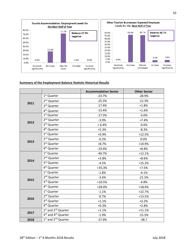

#### **Summary of the Employment Balance Statistic Historical Results**

|      |                                             | <b>Accommodation Sector</b> | <b>Other Sector</b> |
|------|---------------------------------------------|-----------------------------|---------------------|
|      | 1 <sup>st</sup> Quarter                     | $-23.7%$                    | $-28.9%$            |
|      | 2 <sup>nd</sup> Quarter                     | $-25.3%$                    | $-12.3%$            |
| 2011 | 3rd Quarter                                 | $-17.4%$                    | $+1.8%$             |
|      | 4 <sup>th</sup> Quarter                     | $-15.4%$                    | $+1.6%$             |
|      | $1st$ Quarter                               | $-17.3%$                    | $-3.0%$             |
|      | 2 <sup>nd</sup> Quarter                     | $-3.9%$                     | $+7.4%$             |
| 2012 | 3rd Quarter                                 | $+6.4%$                     | $-0.6%$             |
|      | 4 <sup>th</sup> Quarter                     | $+5.3%$                     | $-8.3%$             |
|      | 1 <sup>st</sup> Quarter                     | $+0.9%$                     | $+12.5%$            |
|      | 2 <sup>nd</sup> Quarter                     | $-0.2%$                     | 0.0%                |
| 2013 | 3rd Quarter                                 | $+8.7%$                     | $+10.9%$            |
|      | 4 <sup>th</sup> Quarter                     | $-19.4%$                    | $+8.8%$             |
|      | 1 <sup>st</sup> Quarter                     | $-49.7%$                    | $+12.1%$            |
|      | 2 <sup>nd</sup> Quarter                     | $+2.8%$                     | $+8.6%$             |
| 2014 | 3rd Quarter                                 | $-4.5%$                     | $+15.3%$            |
|      | 4 <sup>th</sup> Quarter                     | $+35,3%$                    | $+7.5%$             |
|      | 1 <sup>st</sup> Quarter                     | $-1.8%$                     | $-4.1%$             |
|      | 2 <sup>nd</sup> Quarter                     | $-3.6%$                     | $-21.5%$            |
| 2015 | 3rd Quarter                                 | $+10.5%$                    | $-4.8%$             |
|      | 4 <sup>th</sup> Quarter                     | $+28.0%$                    | $+18,4%$            |
|      | 1 <sup>st</sup> Quarter                     | $-1.1%$                     | $+22.7%$            |
| 2016 | 2 <sup>nd</sup> Quarter                     | $-0.7%$                     | $+13.5%$            |
|      | 3rd Quarter                                 | $+1.1%$                     | $+3.2%$             |
|      | 4 <sup>th</sup> Quarter                     | $+0.3%$                     | $+2.8%$             |
| 2017 | 1st and 2 <sup>nd</sup> Quarter             | $+1.1%$                     | $+11.1%$            |
|      | $3rd$ and 4 <sup>th</sup> Quarter           | $-1.9%$                     | $-15.5%$            |
| 2018 | 1 <sup>st</sup> and 2 <sup>nd</sup> Quarter | $-27.9%$                    | $-38.7$             |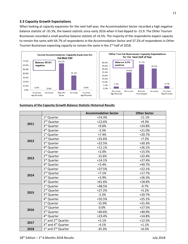#### <span id="page-9-0"></span>**3.3 Capacity Growth Expectations**

When looking at capacity expansion for the next half year, the Accommodation Sector recorded a high negative balance statistic of -35.3%, the lowest statistic since early 2016 when it had dipped to -15.9. The Other Tourism Businesses recorded a small positive balance statistic of +6.5%. The majority of the respondents expect capacity to remain the same with 64.7% of respondents in the Accommodation Sector and 37.2% of respondents in Other Tourism Businesses expecting capacity to remain the same in the 2<sup>nd</sup> half of 2018.





#### **Summary of the Capacity Growth Balance Statistic Historical Results**

|      |                                             | <b>Accommodation Sector</b> | <b>Other Sector</b> |
|------|---------------------------------------------|-----------------------------|---------------------|
|      | 1 <sup>st</sup> Quarter                     | $+14.3%$                    | $-11.1%$            |
|      | 2 <sup>nd</sup> Quarter                     | $+12.6%$                    | $+9.3%$             |
| 2011 | 3rd Quarter                                 | $+9.6%$                     | $+24.8%$            |
|      | 4 <sup>th</sup> Quarter                     | $-3.3%$                     | $+21.0%$            |
|      | 1 <sup>st</sup> Quarter                     | $+7.4%$                     | $+20.7%$            |
|      | 2 <sup>nd</sup> Quarter                     | $+25.6%$                    | $+7.2%$             |
| 2012 | 3rd Quarter                                 | $+22.5%$                    | $+30.3%$            |
|      | 4 <sup>th</sup> Quarter                     | $+11.1%$                    | $+26.1%$            |
|      | 1 <sup>st</sup> Quarter                     | $+2.0%$                     | $+15.5%$            |
| 2013 | 2 <sup>nd</sup> Quarter                     | $-15.6%$                    | $+22.4%$            |
|      | 3rd Quarter                                 | $+14.1%$                    | $+27.4%$            |
|      | 4 <sup>th</sup> Quarter                     | $+5.4%$                     | $+40.7%$            |
|      | 1 <sup>st</sup> Quarter                     | +37.5%                      | $+22.1%$            |
| 2014 | 2 <sup>nd</sup> Quarter                     | $+7.1%$                     | $+17.7%$            |
|      | 3rd Quarter                                 | $+3.9%$                     | $+26.3%$            |
|      | 4 <sup>th</sup> Quarter                     | $+61.6%$                    | $+18.6%$            |
|      | $1st$ Quarter                               | +48.5%                      | $-9.7%$             |
| 2015 | 2 <sup>nd</sup> Quarter                     | $+27.2%$                    | $+5.2%$             |
|      | 3rd Quarter                                 | $-2.3%$                     | $+20.7%$            |
|      | 4 <sup>th</sup> Quarter                     | +35.5%                      | $+25.1%$            |
|      | 1 <sup>st</sup> Quarter                     | $-15.9%$                    | $+31.4%$            |
| 2016 | 2 <sup>nd</sup> Quarter                     | 0.0%                        | $+27.5%$            |
|      | 3rd Quarter                                 | +40.6%                      | +40.9%              |
|      | 4 <sup>th</sup> Quarter                     | $+23.4%$                    | $+14.8%$            |
| 2017 | 1st and 2 <sup>nd</sup> Quarter             | $+5.1%$                     | $+12.5%$            |
|      | 3rd and 4 <sup>th</sup> Quarter             | $-4.1%$                     | $+1.1%$             |
| 2018 | 1 <sup>st</sup> and 2 <sup>nd</sup> Quarter | $-35.3%$                    | $+6.5%$             |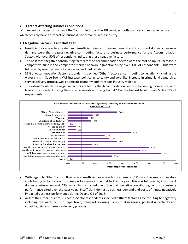#### <span id="page-10-0"></span>**4. Factors Affecting Business Conditions**

With regard to the performance of the Tourism Industry, the TBI considers both positive and negative factors which possibly have an impact on business performance in the industry.

#### <span id="page-10-1"></span>**4.1 Negative Factors – First Half Year**

- Insufficient overseas leisure demand, insufficient domestic leisure demand and insufficient domestic business demand were the greatest negative contributing factors to business performance for the Accommodation Sector, with over 50% of respondents indicating these negative factors.
- The next most negative contributing factors for the Accommodation Sector were the cost of inputs, increase in competitive supply and competitor market behaviour (mentioned by over 30% of respondents). This were followed by weather, security concerns, and cost of labour.
- 36% of Accommodation Sector respondents specified "Other" factors as contributing to negativity including the water crisis in Cape Town, VAT increase, political uncertainty and volatility, increase in crime, land ownership, service delivery protest, weak domestic economy and transport industry violence.
- The extent to which the negative factors are felt by the Accommodation Sector is becoming more acute, with levels of respondents citing the issues as negative moving from 47% at the highest level to now 53% - 69% of respondents.



- With regard to Other Tourism Businesses, insufficient overseas leisure demand (62%) was the greatest negative contributing factor to poor business performance in the first half of the year. This was followed by insufficient domestic leisure demand (49%) which has remained one of the main negative contributing factors to business performance cited over the past year. Insufficient domestic business demand and costs of inputs negatively impacted business performance during Q1 and Q2 of 2018.
- 47% of the Other Tourism Businesses Sector respondents specified "Other" factors as contributing to negativity including the water crisis in Cape Town, transport licensing issues, fuel increases, political uncertainty and volatility, crime and service delivery protests.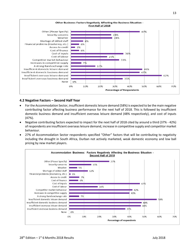

#### <span id="page-11-0"></span>**4.2 Negative Factors – Second Half Year**

- For the Accommodation Sector, insufficient domestic leisure demand (58%) is expected to be the main negative contributing factor affecting business performance for the next half of 2018. This is followed by insufficient domestic business demand and insufficient overseas leisure demand (48% respectively), and cost of inputs (47%).
- Negative contributing factors expected to impact for the next half of 2018 cited by around a third (37% 42%) of respondents are insufficient overseas leisure demand, increase in competitive supply and competitor market behaviour.
- 27% of Accommodation Sector respondents specified "Other" factors that will be contributing to negativity including the drought in South Africa, Durban not actively marketed, weak domestic economy and low ball pricing by new market players.

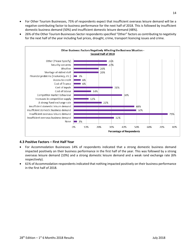- For Other Tourism Businesses, 75% of respondents expect that insufficient overseas leisure demand will be a negative contributing factor to business performance for the next half of 2018. This is followed by insufficient domestic business demand (50%) and insufficient domestic leisure demand (48%).
- 26% of the Other Tourism Businesses Sector respondents specified "Other" factors as contributing to negativity for the next half of the year including fuel prices, drought, crime, transport licencing issues and crime.



#### <span id="page-12-0"></span>**4.3 Positive Factors – First Half Year**

- For Accommodation Businesses 14% of respondents indicated that a strong domestic business demand impacted positively on their business performance in the first half of the year. This was followed by a strong overseas leisure demand (10%) and a strong domestic leisure demand and a weak rand exchange rate (6% respectively).
- 61% of Accommodation respondents indicated that nothing impacted positively on their business performance in the first half of 2018.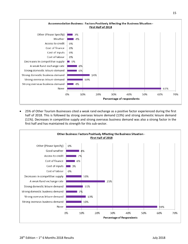

• 25% of Other Tourism Businesses cited a weak rand exchange as a positive factor experienced during the first half of 2018. This is followed by strong overseas leisure demand (13%) and strong domestic leisure demand (11%). Decreases in competitive supply and strong overseas business demand was also a strong factor in the first half and has maintained its strength for this sub-sector.

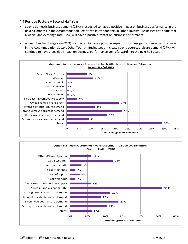#### <span id="page-14-0"></span>**4.4 Positive Factors – Second Half Year**

- Strong domestic business demand (23%) is expected to have a positive impact on business performance in the next six months in the Accommodation Sector, while respondents in Other Tourism Businesses anticipate that a weak Rand exchange rate (52%) will have a positive impact on business performance.
- A weak Rand exchange rate (22%) is expected to have a positive impact on business performance next half year in the Accommodation Sector. Other Tourism Businesses anticipate strong overseas leisure demand (27%) will continue to have a positive impact on business performance going forward into the next half year.



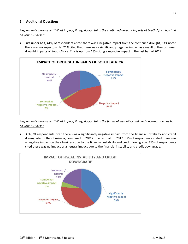#### <span id="page-15-0"></span>**5. Additional Questions**

*Respondents were asked "What impact, if any, do you think the continued drought in parts of South Africa has had on your business?"*

• Just under half, 44%, of respondents cited there was a negative impact from the continued drought, 33% noted there was no impact, whilst 21% cited that there was a significantly negative impact as a result of the continued drought in parts of South Africa. This is up from 13% citing a negative impact in the last half of 2017.



*Respondents were asked "What impact, if any, do you think the financial instability and credit downgrade has had on your business?*

• 39%, Of respondents cited there was a significantly negative impact from the financial instability and credit downgrade on their business, compared to 20% in the last half of 2017. 37% of respondents stated there was a negative impact on their business due to the financial instability and credit downgrade. 19% of respondents cited there was no impact or a neutral impact due to the financial instability and credit downgrade.

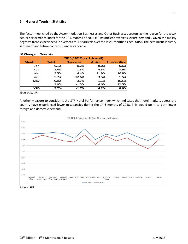#### <span id="page-16-0"></span>**6. General Tourism Statistics**

The factor most cited by the Accommodation Businesses and Other Businesses sectors as the reason for the weak actual performance index for the 1<sup>st</sup> 6 months of 2018 is "Insufficient overseas leisure demand". Given the mostly negative trend experienced in overseas tourist arrivals over the last 6 months as per StatSA, the pessimistic industry sentiment and future concern is understandable.

|              | 2018 / 2017 (excl. transit) |                 |               |                    |  |  |  |  |  |  |
|--------------|-----------------------------|-----------------|---------------|--------------------|--|--|--|--|--|--|
| <b>Month</b> | <b>Total</b>                | <b>Overseas</b> | <b>Africa</b> | <b>Unspecified</b> |  |  |  |  |  |  |
| Janl         | 6.1%                        | $-0.2%$         | 8.0%          | $-0.6%$            |  |  |  |  |  |  |
| Feb          | 3.4%                        | 1.3%            | 4.5%          | 3.9%               |  |  |  |  |  |  |
| Mar          | 9.5%                        | 4.4%            | 11.9%         | 16.8%              |  |  |  |  |  |  |
| Apr          | $-5.7%$                     | $-12.6%$        | $-3.5%$       | $-1.5%$            |  |  |  |  |  |  |
| May          | 0.0%                        | $-3.7%$         | 1.1%          | 15.5%              |  |  |  |  |  |  |
| Jun          | 2.9%                        | $-1.3%$         | 4.0%          | 12.5%              |  |  |  |  |  |  |
| YTD          | 2.7%                        | $-1.7%$         | 4.2%          | 8.0%               |  |  |  |  |  |  |

#### **% Change in Tourists**

*Source: StatSA*

Another measure to consider is the STR Hotel Performance Index which indicates that hotel markets across the country have experienced lower occupancies during the 1<sup>st</sup> 6 months of 2018. This would point to both lower foreign and domestic demand.



*Source: STR*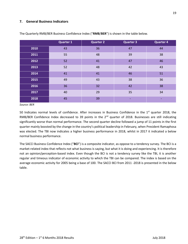#### <span id="page-17-0"></span>**7. General Business Indicators**

|      | <b>Quarter 1</b> | <b>Quarter 2</b> | <b>Quarter 3</b> | <b>Quarter 4</b> |
|------|------------------|------------------|------------------|------------------|
| 2010 | 43               | 36               | 47               | 44               |
| 2011 | 55               | 48               | 39               | 38               |
| 2012 | 52               | 41               | 47               | 46               |
| 2013 | 52               | 48               | 42               | 43               |
| 2014 | 41               | 41               | 46               | 51               |
| 2015 | 49               | 43               | 38               | 36               |
| 2016 | 36               | 32               | 42               | 38               |
| 2017 | 40               | 29               | 35               | 34               |
| 2018 | 45               | 39               |                  |                  |

The Quarterly RMB/BER Business Confidence Index ("**RMB**/**BER**") is shown in the table below.

*Source: BER*

50 Indicates normal levels of confidence. After increases in Business Confidence in the 1<sup>st</sup> quarter 2018, the RMB/BER Confidence Index decreased to 39 points in the 2<sup>nd</sup> quarter of 2018. Businesses are still indicating significantly worse than normal performance. The second quarter decline followed a jump of 11 points in the first quarter mainly boosted by the change in the country's political leadership in February, when President Ramaphosa was elected. The TBI now indicates a higher business performance in 2018, whilst in 2017 it indicated a below normal business performance.

The SACCI Business Confidence Index ("**BCI**") is a composite indicator, as oppose to a tendency survey. The BCI is a market-related index that reflects not what business is saying, but what it is doing and experiencing. It is therefore not an opinion/perception-based index. Even though the BCI is not a tendency survey like the TBI, it is another regular and timeous indicator of economic activity to which the TBI can be compared. The index is based on the average economic activity for 2005 being a base of 100. The SACCI BCI from 2011 -2018 is presented in the below table.